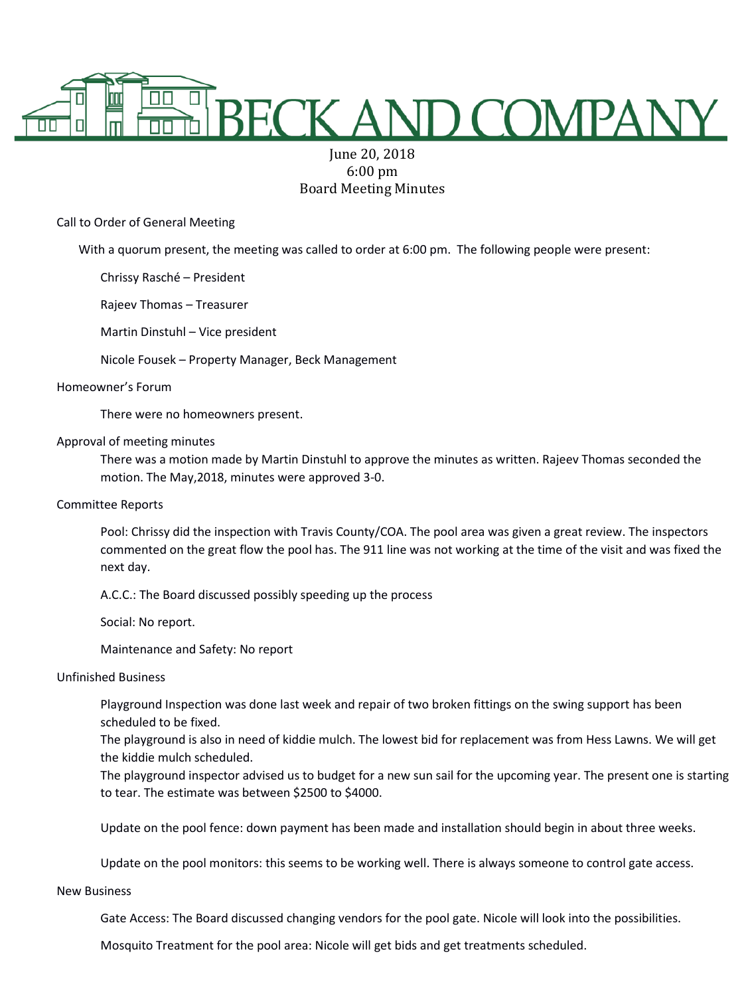

# June 20, 2018 6:00 pm Board Meeting Minutes

Call to Order of General Meeting

With a quorum present, the meeting was called to order at 6:00 pm. The following people were present:

Chrissy Rasché – President

Rajeev Thomas – Treasurer

Martin Dinstuhl – Vice president

Nicole Fousek – Property Manager, Beck Management

## Homeowner's Forum

There were no homeowners present.

## Approval of meeting minutes

There was a motion made by Martin Dinstuhl to approve the minutes as written. Rajeev Thomas seconded the motion. The May,2018, minutes were approved 3-0.

## Committee Reports

Pool: Chrissy did the inspection with Travis County/COA. The pool area was given a great review. The inspectors commented on the great flow the pool has. The 911 line was not working at the time of the visit and was fixed the next day.

A.C.C.: The Board discussed possibly speeding up the process

Social: No report.

Maintenance and Safety: No report

## Unfinished Business

Playground Inspection was done last week and repair of two broken fittings on the swing support has been scheduled to be fixed.

The playground is also in need of kiddie mulch. The lowest bid for replacement was from Hess Lawns. We will get the kiddie mulch scheduled.

The playground inspector advised us to budget for a new sun sail for the upcoming year. The present one is starting to tear. The estimate was between \$2500 to \$4000.

Update on the pool fence: down payment has been made and installation should begin in about three weeks.

Update on the pool monitors: this seems to be working well. There is always someone to control gate access.

#### New Business

Gate Access: The Board discussed changing vendors for the pool gate. Nicole will look into the possibilities.

Mosquito Treatment for the pool area: Nicole will get bids and get treatments scheduled.